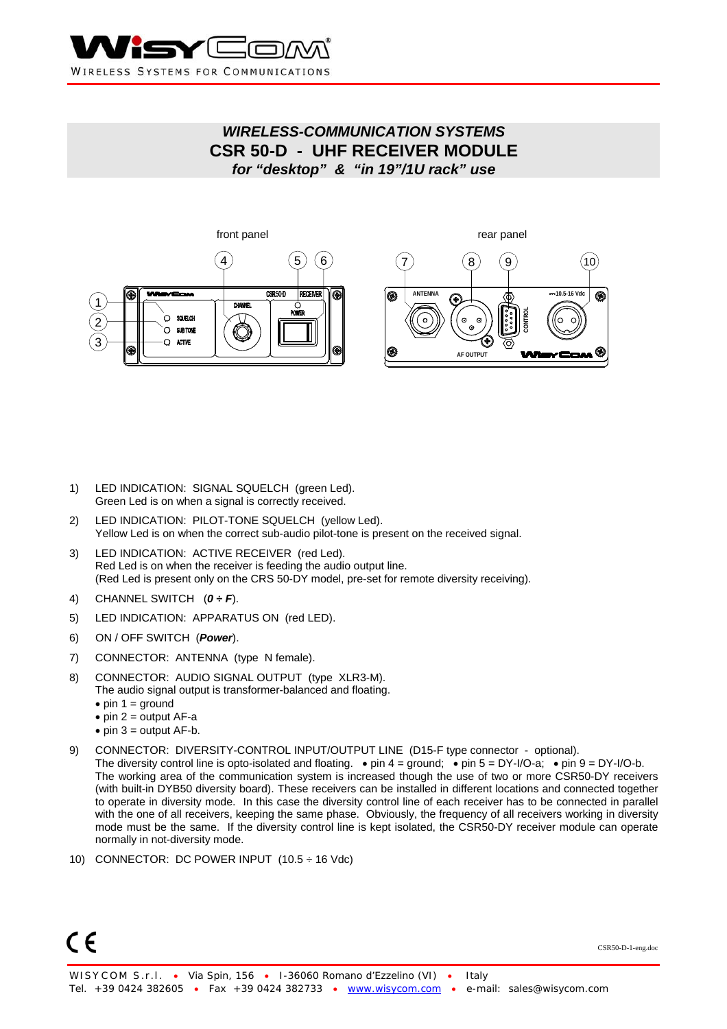

# *WIRELESS-COMMUNICATION SYSTEMS*  **CSR 50-D - UHF RECEIVER MODULE**  *for "desktop" & "in 19"/1U rack" use*



- 1) LED INDICATION: SIGNAL SQUELCH (green Led). Green Led is on when a signal is correctly received.
- 2) LED INDICATION: PILOT-TONE SQUELCH (yellow Led). Yellow Led is on when the correct sub-audio pilot-tone is present on the received signal.
- 3) LED INDICATION: ACTIVE RECEIVER (red Led). Red Led is on when the receiver is feeding the audio output line. (Red Led is present only on the CRS 50-DY model, pre-set for remote diversity receiving).
- 4) CHANNEL SWITCH (*0 ÷ F*).
- 5) LED INDICATION: APPARATUS ON (red LED).
- 6) ON / OFF SWITCH (*Power*).
- 7) CONNECTOR: ANTENNA (type N female).
- 8) CONNECTOR: AUDIO SIGNAL OUTPUT (type XLR3-M). The audio signal output is transformer-balanced and floating.
	- $\bullet$  pin 1 = ground
	- $\bullet$  pin 2 = output AF-a
	- $\bullet$  pin 3 = output AF-b.
- 9) CONNECTOR: DIVERSITY-CONTROL INPUT/OUTPUT LINE (D15-F type connector optional).
- The diversity control line is opto-isolated and floating.  $\bullet$  pin 4 = ground;  $\bullet$  pin 5 = DY-I/O-a;  $\bullet$  pin 9 = DY-I/O-b. The working area of the communication system is increased though the use of two or more CSR50-DY receivers (with built-in DYB50 diversity board). These receivers can be installed in different locations and connected together to operate in diversity mode. In this case the diversity control line of each receiver has to be connected in parallel with the one of all receivers, keeping the same phase. Obviously, the frequency of all receivers working in diversity mode must be the same. If the diversity control line is kept isolated, the CSR50-DY receiver module can operate normally in not-diversity mode.
- 10) CONNECTOR: DC POWER INPUT (10.5 ÷ 16 Vdc)

 $\epsilon$ 

CSR50-D-1-eng.doc